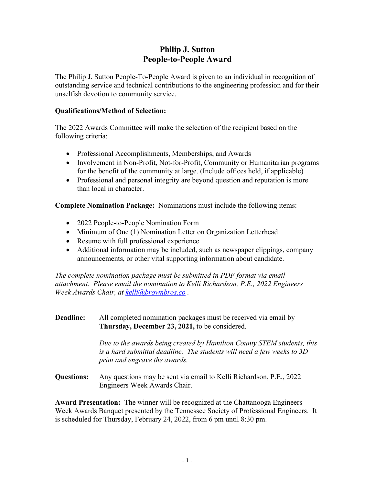# **Philip J. Sutton People-to-People Award**

The Philip J. Sutton People-To-People Award is given to an individual in recognition of outstanding service and technical contributions to the engineering profession and for their unselfish devotion to community service.

### **Qualifications/Method of Selection:**

The 2022 Awards Committee will make the selection of the recipient based on the following criteria:

- Professional Accomplishments, Memberships, and Awards
- Involvement in Non-Profit, Not-for-Profit, Community or Humanitarian programs for the benefit of the community at large. (Include offices held, if applicable)
- Professional and personal integrity are beyond question and reputation is more than local in character.

**Complete Nomination Package:** Nominations must include the following items:

- 2022 People-to-People Nomination Form
- Minimum of One (1) Nomination Letter on Organization Letterhead
- Resume with full professional experience
- Additional information may be included, such as newspaper clippings, company announcements, or other vital supporting information about candidate.

*The complete nomination package must be submitted in PDF format via email attachment. Please email the nomination to Kelli Richardson, P.E., 2022 Engineers Week Awards Chair, at kelli@brownbros.co .* 

#### **Deadline:** All completed nomination packages must be received via email by **Thursday, December 23, 2021,** to be considered.

 *Due to the awards being created by Hamilton County STEM students, this is a hard submittal deadline. The students will need a few weeks to 3D print and engrave the awards.* 

**Questions:** Any questions may be sent via email to Kelli Richardson, P.E., 2022 Engineers Week Awards Chair.

**Award Presentation:** The winner will be recognized at the Chattanooga Engineers Week Awards Banquet presented by the Tennessee Society of Professional Engineers. It is scheduled for Thursday, February 24, 2022, from 6 pm until 8:30 pm.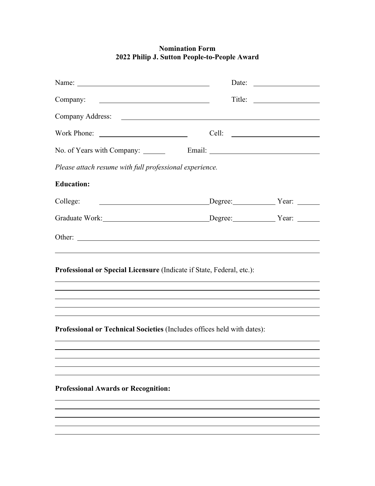## **Nomination Form 2022 Philip J. Sutton People-to-People Award**

|                                                                         |                     | Date: $\qquad \qquad$ |  |  |
|-------------------------------------------------------------------------|---------------------|-----------------------|--|--|
| Company:                                                                |                     | Title:                |  |  |
|                                                                         |                     |                       |  |  |
|                                                                         |                     |                       |  |  |
|                                                                         |                     |                       |  |  |
| Please attach resume with full professional experience.                 |                     |                       |  |  |
| <b>Education:</b>                                                       |                     |                       |  |  |
| College:                                                                | Degree: Year: Year: |                       |  |  |
| Graduate Work: Degree: Year: Year:                                      |                     |                       |  |  |
|                                                                         |                     |                       |  |  |
| Professional or Special Licensure (Indicate if State, Federal, etc.):   |                     |                       |  |  |
|                                                                         |                     |                       |  |  |
| Professional or Technical Societies (Includes offices held with dates): |                     |                       |  |  |
|                                                                         |                     |                       |  |  |
|                                                                         |                     |                       |  |  |
|                                                                         |                     |                       |  |  |
| <b>Professional Awards or Recognition:</b>                              |                     |                       |  |  |
|                                                                         |                     |                       |  |  |

<u> 1989 - Johann Stoff, amerikansk politiker (d. 1989)</u>

 $\overline{a}$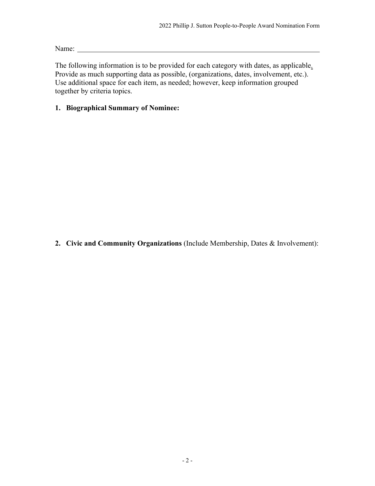Name: Name:

The following information is to be provided for each category with dates, as applicable. Provide as much supporting data as possible, (organizations, dates, involvement, etc.). Use additional space for each item, as needed; however, keep information grouped together by criteria topics.

## **1. Biographical Summary of Nominee:**

**2. Civic and Community Organizations** (Include Membership, Dates & Involvement):